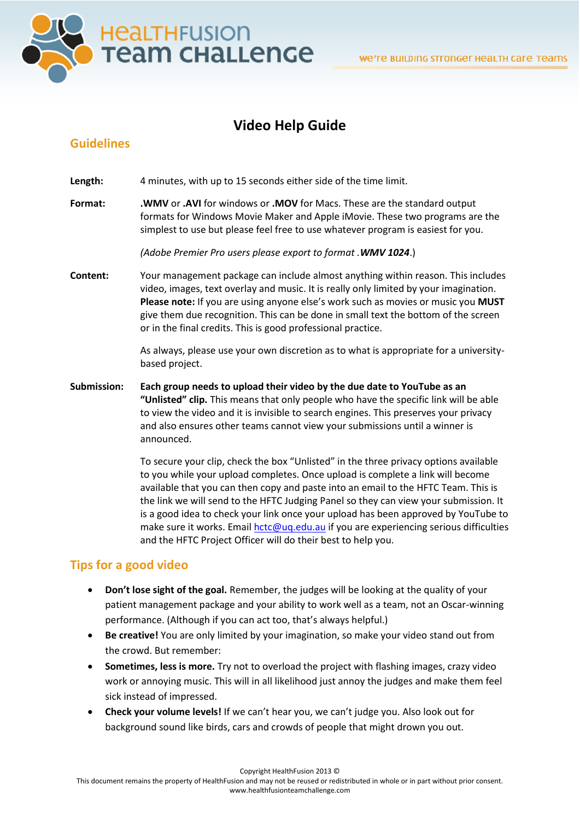

# **Video Help Guide**

### **Guidelines**

Length: 4 minutes, with up to 15 seconds either side of the time limit.

**Format: .WMV** or **.AVI** for windows or **.MOV** for Macs. These are the standard output formats for Windows Movie Maker and Apple iMovie. These two programs are the simplest to use but please feel free to use whatever program is easiest for you.

*(Adobe Premier Pro users please export to format .WMV 1024*.)

**Content:** Your management package can include almost anything within reason. This includes video, images, text overlay and music. It is really only limited by your imagination. **Please note:** If you are using anyone else's work such as movies or music you **MUST** give them due recognition. This can be done in small text the bottom of the screen or in the final credits. This is good professional practice.

> As always, please use your own discretion as to what is appropriate for a universitybased project.

**Submission: Each group needs to upload their video by the due date to YouTube as an "Unlisted" clip.** This means that only people who have the specific link will be able to view the video and it is invisible to search engines. This preserves your privacy and also ensures other teams cannot view your submissions until a winner is announced.

> To secure your clip, check the box "Unlisted" in the three privacy options available to you while your upload completes. Once upload is complete a link will become available that you can then copy and paste into an email to the HFTC Team. This is the link we will send to the HFTC Judging Panel so they can view your submission. It is a good idea to check your link once your upload has been approved by YouTube to make sure it works. Emai[l hctc@uq.edu.au](mailto:hctc@uq.edu.au) if you are experiencing serious difficulties and the HFTC Project Officer will do their best to help you.

## **Tips for a good video**

- **Don't lose sight of the goal.** Remember, the judges will be looking at the quality of your patient management package and your ability to work well as a team, not an Oscar-winning performance. (Although if you can act too, that's always helpful.)
- **Be creative!** You are only limited by your imagination, so make your video stand out from the crowd. But remember:
- **Sometimes, less is more.** Try not to overload the project with flashing images, crazy video work or annoying music. This will in all likelihood just annoy the judges and make them feel sick instead of impressed.
- **Check your volume levels!** If we can't hear you, we can't judge you. Also look out for background sound like birds, cars and crowds of people that might drown you out.

Copyright HealthFusion 2013 ©